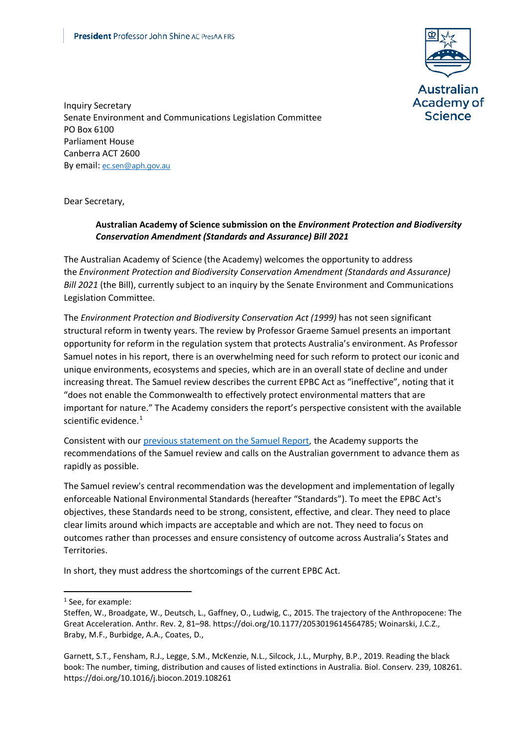

Inquiry Secretary Senate Environment and Communications Legislation Committee PO Box 6100 Parliament House Canberra ACT 2600 By email: [ec.sen@aph.gov.au](mailto:ec.sen@aph.gov.au)

Dear Secretary,

## **Australian Academy of Science submission on the** *Environment Protection and Biodiversity Conservation Amendment (Standards and Assurance) Bill 2021*

The Australian Academy of Science (the Academy) welcomes the opportunity to address the *Environment Protection and Biodiversity Conservation Amendment (Standards and Assurance) Bill 2021* (the Bill), currently subject to an inquiry by the Senate Environment and Communications Legislation Committee.

The *Environment Protection and Biodiversity Conservation Act (1999)* has not seen significant structural reform in twenty years. The review by Professor Graeme Samuel presents an important opportunity for reform in the regulation system that protects Australia's environment. As Professor Samuel notes in his report, there is an overwhelming need for such reform to protect our iconic and unique environments, ecosystems and species, which are in an overall state of decline and under increasing threat. The Samuel review describes the current EPBC Act as "ineffective", noting that it "does not enable the Commonwealth to effectively protect environmental matters that are important for nature." The Academy considers the report's perspective consistent with the available scientific evidence. $1$ 

Consistent with our [previous statement on the Samuel Report,](https://www.science.org.au/news-and-events/news-and-media-releases/scientists-call-australian-government-implement-samuel) the Academy supports the recommendations of the Samuel review and calls on the Australian government to advance them as rapidly as possible.

The Samuel review's central recommendation was the development and implementation of legally enforceable National Environmental Standards (hereafter "Standards"). To meet the EPBC Act's objectives, these Standards need to be strong, consistent, effective, and clear. They need to place clear limits around which impacts are acceptable and which are not. They need to focus on outcomes rather than processes and ensure consistency of outcome across Australia's States and Territories.

In short, they must address the shortcomings of the current EPBC Act.

<span id="page-0-0"></span><sup>1</sup> See, for example:

Steffen, W., Broadgate, W., Deutsch, L., Gaffney, O., Ludwig, C., 2015. The trajectory of the Anthropocene: The Great Acceleration. Anthr. Rev. 2, 81–98. https://doi.org/10.1177/2053019614564785; Woinarski, J.C.Z., Braby, M.F., Burbidge, A.A., Coates, D.,

Garnett, S.T., Fensham, R.J., Legge, S.M., McKenzie, N.L., Silcock, J.L., Murphy, B.P., 2019. Reading the black book: The number, timing, distribution and causes of listed extinctions in Australia. Biol. Conserv. 239, 108261. https://doi.org/10.1016/j.biocon.2019.108261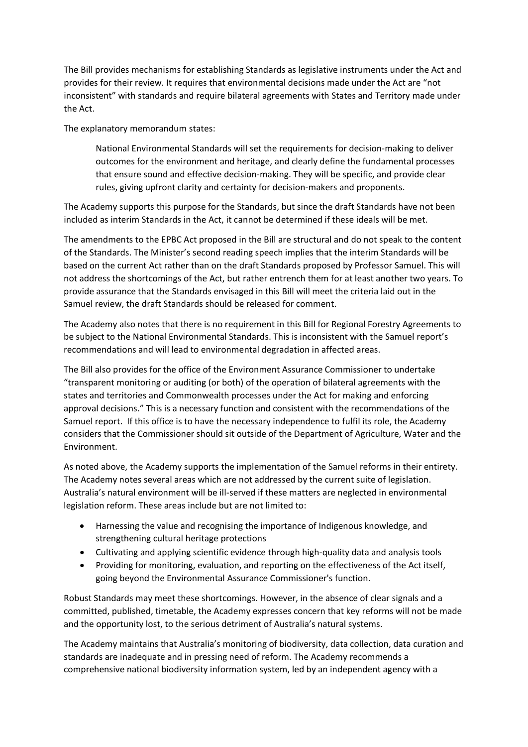The Bill provides mechanisms for establishing Standards as legislative instruments under the Act and provides for their review. It requires that environmental decisions made under the Act are "not inconsistent" with standards and require bilateral agreements with States and Territory made under the Act.

The explanatory memorandum states:

National Environmental Standards will set the requirements for decision-making to deliver outcomes for the environment and heritage, and clearly define the fundamental processes that ensure sound and effective decision-making. They will be specific, and provide clear rules, giving upfront clarity and certainty for decision-makers and proponents.

The Academy supports this purpose for the Standards, but since the draft Standards have not been included as interim Standards in the Act, it cannot be determined if these ideals will be met.

The amendments to the EPBC Act proposed in the Bill are structural and do not speak to the content of the Standards. The Minister's second reading speech implies that the interim Standards will be based on the current Act rather than on the draft Standards proposed by Professor Samuel. This will not address the shortcomings of the Act, but rather entrench them for at least another two years. To provide assurance that the Standards envisaged in this Bill will meet the criteria laid out in the Samuel review, the draft Standards should be released for comment.

The Academy also notes that there is no requirement in this Bill for Regional Forestry Agreements to be subject to the National Environmental Standards. This is inconsistent with the Samuel report's recommendations and will lead to environmental degradation in affected areas.

The Bill also provides for the office of the Environment Assurance Commissioner to undertake "transparent monitoring or auditing (or both) of the operation of bilateral agreements with the states and territories and Commonwealth processes under the Act for making and enforcing approval decisions." This is a necessary function and consistent with the recommendations of the Samuel report. If this office is to have the necessary independence to fulfil its role, the Academy considers that the Commissioner should sit outside of the Department of Agriculture, Water and the Environment.

As noted above, the Academy supports the implementation of the Samuel reforms in their entirety. The Academy notes several areas which are not addressed by the current suite of legislation. Australia's natural environment will be ill-served if these matters are neglected in environmental legislation reform. These areas include but are not limited to:

- Harnessing the value and recognising the importance of Indigenous knowledge, and strengthening cultural heritage protections
- Cultivating and applying scientific evidence through high-quality data and analysis tools
- Providing for monitoring, evaluation, and reporting on the effectiveness of the Act itself, going beyond the Environmental Assurance Commissioner's function.

Robust Standards may meet these shortcomings. However, in the absence of clear signals and a committed, published, timetable, the Academy expresses concern that key reforms will not be made and the opportunity lost, to the serious detriment of Australia's natural systems.

The Academy maintains that Australia's monitoring of biodiversity, data collection, data curation and standards are inadequate and in pressing need of reform. The Academy recommends a comprehensive national biodiversity information system, led by an independent agency with a